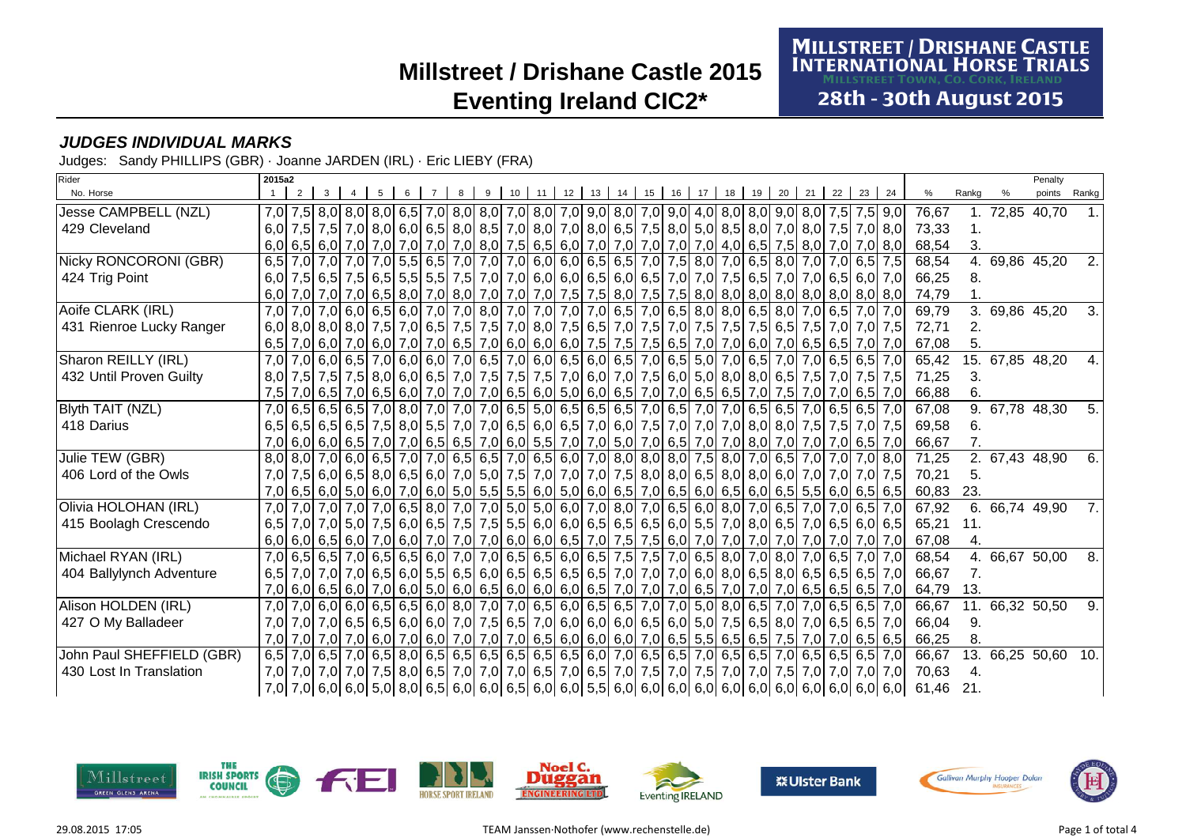**MILLSTREET / DRISHANE CASTLE<br>INTERNATIONAL HORSE TRIALS** 

28th - 30th August 2015

### **JUDGES INDIVIDUAL MARKS**

Judges: Sandy PHILLIPS (GBR) · Joanne JARDEN (IRL) · Eric LIEBY (FRA)

| Rider                     | 2015a2 |  |                                                                                                                 |  |  |    |    |                 |    |    |    |    |    |    |                         |    |    |    |                                                                                                                         |       |       |                | Penalty     |                  |
|---------------------------|--------|--|-----------------------------------------------------------------------------------------------------------------|--|--|----|----|-----------------|----|----|----|----|----|----|-------------------------|----|----|----|-------------------------------------------------------------------------------------------------------------------------|-------|-------|----------------|-------------|------------------|
| No. Horse                 |        |  |                                                                                                                 |  |  | 10 | 11 | 12 <sup>1</sup> | 13 | 14 | 15 | 16 | 18 | 19 | 20                      | 21 | 22 | 23 | 24                                                                                                                      | $\%$  | Rankg |                | points      | Rankg            |
| Jesse CAMPBELL (NZL)      |        |  |                                                                                                                 |  |  |    |    |                 |    |    |    |    |    |    |                         |    |    |    | 7,0 7,5 8,0 8,0 8,0 6,5 7,0 8,0 8,0 7,0 8,0 7,0 9,0 7,0 8,0 7,0 8,0 7,0 9,0 4,0 8,0 8,0 9,0 8,0 7,5 7,5 9,0             | 76,67 |       | 1. 72,85 40,70 |             |                  |
| 429 Cleveland             | 6.0    |  |                                                                                                                 |  |  |    |    |                 |    |    |    |    |    |    |                         |    |    |    | 7,5 7,6 8,0 6,0 6,0 6,5 8,0 8,6 7,0 8,0 7,0 8,0 6,5 7,5 8,0 5,0 8,5 8,0 7,0 8,0 7,5 7,5 7,0 8,0 7,5 7,0 8,0             | 73,33 |       |                |             |                  |
|                           |        |  |                                                                                                                 |  |  |    |    |                 |    |    |    |    |    |    |                         |    |    |    | 6,0 6,5 6,0 7,0 7,0 7,0 7,0 7,0 8,0 7,5 6,5 6,0 7,0 7,0 7,0 7,0 7,0 7,0 7,0 4,0 6,5 7,5 8,0 7,0 7,0 7,0 8,0             | 68,54 | 3.    |                |             |                  |
| Nicky RONCORONI (GBR)     |        |  | 6,5 7,0 7,0 7,0 7,0 7,0 5,5 6,5 7,0 7,0 7,0 6,0 6,0 6,5 6,5 7,0 7,5 8,0 7,0 6,5 8,0 7,0 7,0 7,0 6,5             |  |  |    |    |                 |    |    |    |    |    |    |                         |    |    |    | 7.5                                                                                                                     | 68,54 | 4.    | 69,86 45,20    |             | 2.               |
| 424 Trig Point            | 6.0    |  |                                                                                                                 |  |  |    |    |                 |    |    |    |    |    |    |                         |    |    |    | 7,5 6,5 7,5 6,5 7,6 6,6 5,5 6,0 7,0 7,0 6,0 6,0 6,5 6,0 6,5 7,0 7,0 7,5 6,5 7,0 7,0 6,5 6,0 7,0                         | 66,25 | 8.    |                |             |                  |
|                           |        |  |                                                                                                                 |  |  |    |    |                 |    |    |    |    |    |    |                         |    |    |    |                                                                                                                         | 74,79 |       |                |             |                  |
| Aoife CLARK (IRL)         |        |  | 7,0 7,0 7,0 6,0 6,5 6,0 7,0 7,0 8,0 7,0 7,0 7,0 7,0 7,0 6,5 7,0 6,5 8,0 8,0 6,5 8,0 7,0 6,5 7,0 6,5 7,0         |  |  |    |    |                 |    |    |    |    |    |    |                         |    |    |    | 7,0                                                                                                                     | 69,79 | 3.    |                | 69,86 45,20 | 3.               |
| 431 Rienroe Lucky Ranger  |        |  | 6,0 8,0 8,0 8,0 7,5 7,6 7,0 6,5 7,6 7,6 7,0 8,0 7,5 6,5 7,0 7,5 7,0 7,5 7,0 7,5 7,5 6,5 7,5 6,5 7,76 7,0 7,0    |  |  |    |    |                 |    |    |    |    |    |    |                         |    |    |    | 7.5                                                                                                                     | 72,71 | 2.    |                |             |                  |
|                           |        |  | 6,5 7,0 6,0 7,0 6,5 6,5 7,0 6,0 7,0 6,0 6,6 7,0 6,0 6,0 6,0 7,5 7,5 7,5 6,5 7,0 7,0 6,0 7,0 6,5 6,5 6,5 7,0     |  |  |    |    |                 |    |    |    |    |    |    |                         |    |    |    | 7.0                                                                                                                     | 67,08 | 5.    |                |             |                  |
| Sharon REILLY (IRL)       | 7.0    |  | 7,0 6,0 6,5 7,0 6,0 6,0 7,0 6,5 7,0 6,0 6,5 6,0 6,5 7,0 6,5 7,0 6,5 5,0                                         |  |  |    |    |                 |    |    |    |    |    |    | 7,0 6,5 7,0 7,0 6,5 6,5 |    |    |    | 7.0                                                                                                                     | 65,42 | 15.   | 67,85 48,20    |             | 4.               |
| 432 Until Proven Guilty   | 8.0    |  | 7,5 7,5 7,5 8,0 6,6 7,0 7,5 7,6 7,5 7,6 7,6 8,0 7,0 7,5 6,0 7,6 8,0 8,0 8,0 6,5 7,5 7,0 7,5                     |  |  |    |    |                 |    |    |    |    |    |    |                         |    |    |    | 7.5                                                                                                                     | 71.25 | 3.    |                |             |                  |
|                           |        |  |                                                                                                                 |  |  |    |    |                 |    |    |    |    |    |    |                         |    |    |    | 7,5 7,0 6,5 7,0 6,5 7,0 6,5 7,0 6,5 6,0 7,0 7,0 7,0 6,5 6,0 5,0 6,0 6,5 7,0 7,0 6,5 6,5 7,0 7,5 7,0 7,0 6,5 7,0         | 66,88 | 6.    |                |             |                  |
| Blyth TAIT (NZL)          |        |  | 7,0 6,5 6,5 6,5 7,0 8,0 7,0 7,0 7,0 6,5 6,0 6,5 6,5 6,5 7,0 6,5 7,0 7,0 6,5 7,0 6,5 7,0 6,5 7,0 6,5 6,5         |  |  |    |    |                 |    |    |    |    |    |    |                         |    |    |    | 7,0                                                                                                                     | 67,08 | 9.    | 67,78 48,30    |             | 5.               |
| 418 Darius                | 6.5    |  | 6,5 6,5 6,5 7,5 8,0 5,5 7,0 7,0 7,0 6,5 6,0 6,5 7,0 6,0 7,5 7,0 7,0 7,0 8,0 8,0 7,5 7,5 7,5 7,0                 |  |  |    |    |                 |    |    |    |    |    |    |                         |    |    |    | 7.5                                                                                                                     | 69,58 | 6.    |                |             |                  |
|                           |        |  |                                                                                                                 |  |  |    |    |                 |    |    |    |    |    |    |                         |    |    |    | 7,0 6,0 6,0 6,0 6,5 7,0 7,0 6,5 6,5 7,0 6,0 5,5 7,0 6,0 7,0 6,0 7,0 6,5 7,0 7,0 8,0 7,0 7,0 7,0 7,0 6,5 7,0             | 66,67 |       |                |             |                  |
| Julie TEW (GBR)           |        |  | 8,0 8,0 7,0 6,0 7,0 6,0 7,0 7,0 8,0 7,0 6,5 6,5 7,0 6,5 6,0 7,0 8,0 8,0 8,0 7,5 8,0 7,0 6,5 7,0 7,0 7,0 8,0     |  |  |    |    |                 |    |    |    |    |    |    |                         |    |    |    |                                                                                                                         | 71,25 | 2.    | 67,43 48,90    |             | 6.               |
| 406 Lord of the Owls      | 7.0    |  | 7,5 6,0 6,0 7,0 7,0 7,0 6,0 7,0 7,5 7,0 7,0 7,0 7,5 8,0 8,0 6,5 8,0 8,0 6,0 7,0 7,0 7,0 7,0                     |  |  |    |    |                 |    |    |    |    |    |    |                         |    |    |    | 7.5                                                                                                                     | 70,21 | 5.    |                |             |                  |
|                           |        |  |                                                                                                                 |  |  |    |    |                 |    |    |    |    |    |    |                         |    |    |    | 7,0 6,5 6,0 5,5 6,0 6,5 6,0 6,5 6,0 7,0 6,0 5,0 6,0 5,5 6,0 5,0 6,0 6,5 7,0 6,5 6,0 6,5 6,0 6,5 5,5 6,0 6,5 6,5 6,5 6,5 | 60,83 | 23.   |                |             |                  |
| Olivia HOLOHAN (IRL)      | 7,0    |  |                                                                                                                 |  |  |    |    |                 |    |    |    |    |    |    |                         |    |    |    | 7,0 7,0 7,0 7,0 6,5 8,0 7,0 7,0 5,0 5,0 6,0 7,0 8,0 7,0 6,5 6,0 8,0 7,0 6,5 7,0 7,0 6,5 7,0 6,5 7,0                     | 67,92 | 6.    |                | 66,74 49,90 | $\overline{7}$ . |
| 415 Boolagh Crescendo     | 6,5    |  |                                                                                                                 |  |  |    |    |                 |    |    |    |    |    |    |                         |    |    |    | 7,0 7,0 6,5 7,0 6,5 6,0 7,5 6,0 6,5 7,5 7,5 7,5 6,0 6,0 6,0 6,5 6,5 6,5 6,0 5,5 7,0 8,0 6,5 7,0 6,5 6,0 6,5 6,0 6,5     | 65,21 | 11.   |                |             |                  |
|                           |        |  |                                                                                                                 |  |  |    |    |                 |    |    |    |    |    |    |                         |    |    |    |                                                                                                                         | 67,08 |       |                |             |                  |
| Michael RYAN (IRL)        | 7,0    |  | 6,5 6,5 7,0 6,5 6,5 6,0 7,0 7,0 6,5 6,5 6,5 6,0 6,5 7,5 7,5 7,0 6,5 8,0 7,0 8,0 7,0 6,5 7,0                     |  |  |    |    |                 |    |    |    |    |    |    |                         |    |    |    |                                                                                                                         | 68,54 | 4.    |                | 66,67 50,00 | 8.               |
| 404 Ballylynch Adventure  |        |  |                                                                                                                 |  |  |    |    |                 |    |    |    |    |    |    |                         |    |    |    | 6,5 7,0 7,0 7,0 6,5 6,5 6,5 6,0 5,5 6,5 6,0 6,5 6,5 6,5 6,5 6,5 7,0 7,0 7,0 6,0 8,0 6,5 8,0 6,5 6,5 6,5 6,5 7,0         | 66.67 | 7.    |                |             |                  |
|                           |        |  |                                                                                                                 |  |  |    |    |                 |    |    |    |    |    |    |                         |    |    |    | 7,0 6,5 6,5 6,5 6,5 6,5 6,5 7,0 6,6 6,7 6,0 6,0 6,0 6,0 6,0 6,0 6,5 7,0 7,0 7,0 6,5 7,0 7,0 7,0 6,5 6,5 6,5 6,5 7,0     | 64,79 | 13.   |                |             |                  |
| Alison HOLDEN (IRL)       | 7,0    |  | 7,0 6,0 6,0 6,5 6,5 6,0 8,0 7,0 7,0 6,5 6,0 6,5 6,0 7,0 7,0 7,0 7,0 8,0 6,5 7,0 7,0 6,5 7,0 7,0 6,5 6,5         |  |  |    |    |                 |    |    |    |    |    |    |                         |    |    |    | 7,0                                                                                                                     | 66,67 | 11.   |                | 66,32 50,50 | 9.               |
| 427 O My Balladeer        | 7.0    |  | 7,0 6,5 6,5 6,6 6,6 6,6 6,6 7,0 6,6 7,0 6,0 6,0 6,0 6,0 6,0 6,5 6,0 7,5 6,5 8,0 7,0 6,5 6,5 6,5 7,0             |  |  |    |    |                 |    |    |    |    |    |    |                         |    |    |    |                                                                                                                         | 66,04 | 9.    |                |             |                  |
|                           |        |  |                                                                                                                 |  |  |    |    |                 |    |    |    |    |    |    |                         |    |    |    | 7,0 7,0 7,0 7,0 6,5 6,5 6,5 6,6 7,0 6,6 6,0 7,0 7,0 7,0 6,5 6,0 6,0 6,0 7,0 6,5 5,5 6,5 6,5 7,5 7,0 7,0 6,5 6,5 6,5     | 66,25 | 8.    |                |             |                  |
| John Paul SHEFFIELD (GBR) |        |  | 6,5 7,0 6,5 7,0 6,5 7,0 6,5 8,0 6,5 6,5 6,5 6,5 6,5 6,5 6,5 6,0 7,0 6,5 6,5 7,0 6,5 6,5 7,0 6,5 6,5 6,5 6,5 6,5 |  |  |    |    |                 |    |    |    |    |    |    |                         |    |    |    | 7.0                                                                                                                     | 66,67 | 13.   |                | 66,25 50,60 | 10.              |
| 430 Lost In Translation   | 7,0    |  |                                                                                                                 |  |  |    |    |                 |    |    |    |    |    |    |                         |    |    |    | 7,0 7,0 7,0 7,0 7,0 7,0 7,0 6,5 7,0 6,5 7,0 6,5 7,0 6,5 7,0 7,5 7,0 7,5 7,0 7,0 7,5 7,0 7,0 7,0 7,0 7,0 7,0             | 70,63 | 4.    |                |             |                  |
|                           |        |  |                                                                                                                 |  |  |    |    |                 |    |    |    |    |    |    |                         |    |    |    |                                                                                                                         | 61,46 | 21    |                |             |                  |



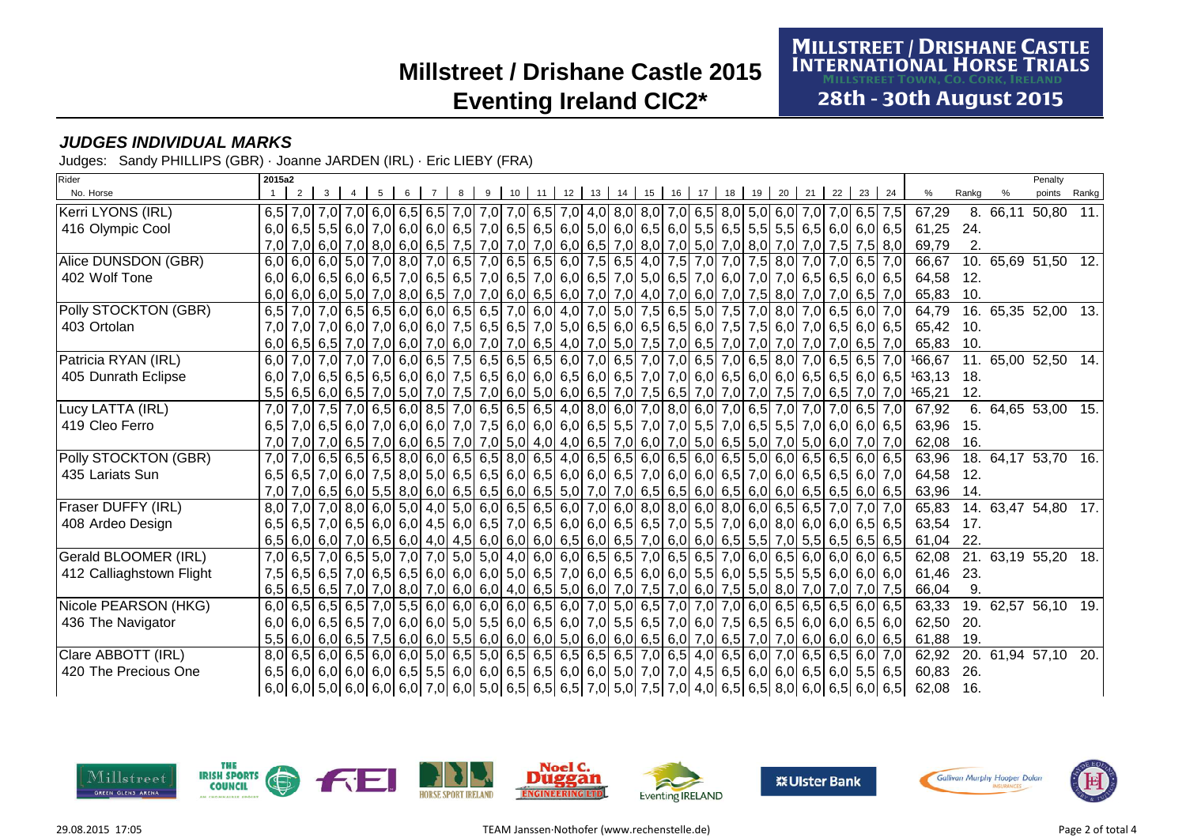**MILLSTREET / DRISHANE CASTLE<br>INTERNATIONAL HORSE TRIALS** 

28th - 30th August 2015

### **JUDGES INDIVIDUAL MARKS**

Judges: Sandy PHILLIPS (GBR) · Joanne JARDEN (IRL) · Eric LIEBY (FRA)

| Rider                    | 2015a2           |   |                                                                                                                                                                                                                                                                     |   |   |   |   |         |         |          |    |       |    |    |    |           |           |                                                                                                                            |       | Penalty             |       |
|--------------------------|------------------|---|---------------------------------------------------------------------------------------------------------------------------------------------------------------------------------------------------------------------------------------------------------------------|---|---|---|---|---------|---------|----------|----|-------|----|----|----|-----------|-----------|----------------------------------------------------------------------------------------------------------------------------|-------|---------------------|-------|
| No. Horse                |                  | 2 |                                                                                                                                                                                                                                                                     | 5 | 6 | 8 | 9 | $10$ 11 | $12$ 13 | 14 15 16 | 17 | 18 19 | 20 | 21 | 22 | 23 24     |           | %                                                                                                                          | Rankg | points              | Rankg |
| Kerri LYONS (IRL)        |                  |   | 6,5 7,0 7,0 7,0 6,0 6,5 6,5 7,0 7,0 7,0 7,0 6,5 7,0 4,0 8,0 8,0 7,0 6,5 8,0 5,0 6,0 7,0 7,0 6,5 7,5                                                                                                                                                                 |   |   |   |   |         |         |          |    |       |    |    |    |           |           | 67,29                                                                                                                      |       | 8. 66,11 50,80 11.  |       |
| 416 Olympic Cool         |                  |   | 6,0 6,5 5,5 6,0 7,0 6,0 6,0 6,5 7,0 6,5 6,5 6,5 6,0 5,0 6,0 6,5 6,0 5,5 6,5 5,5 5,5 6,5 6,5 6,0 6,0 6,0 6,5                                                                                                                                                         |   |   |   |   |         |         |          |    |       |    |    |    |           |           | 61,25                                                                                                                      | 24.   |                     |       |
|                          | 7,0              |   | 7,0 6,0 7,0 8,0 7,0 8,0 6,0 6,5 7,6 7,0 7,0 7,0 6,0 6,5 7,0 8,0 7,0 5,0 7,0 8,0 7,0 8,0 7,0 7,0 7,0                                                                                                                                                                 |   |   |   |   |         |         |          |    |       |    |    |    |           | $7,5$ 8,0 | 69,79                                                                                                                      | 2.    |                     |       |
| Alice DUNSDON (GBR)      |                  |   | 6,0 6,0 6,0 5,0 7,0 8,0 7,0 6,5 7,0 6,5 7,0 6,5 6,5 6,0 7,5 6,5 4,0 7,5 7,0 7,0 7,5 8,0 7,0 7,0 6,5 7,0                                                                                                                                                             |   |   |   |   |         |         |          |    |       |    |    |    |           |           | 66,67                                                                                                                      | 10.   | 65,69 51,50 12.     |       |
| 402 Wolf Tone            |                  |   | 6,0 6,0 6,0 6,5 6,0 6,5 7,0 6,5 7,0 6,5 7,0 6,5 7,0 6,0 6,5 7,0 5,0 6,5 7,0 6,0 7,0 6,0 7,0 6,5 6,5 6,5 6,0 6,5                                                                                                                                                     |   |   |   |   |         |         |          |    |       |    |    |    |           |           | 64,58                                                                                                                      | 12.   |                     |       |
|                          |                  |   | 6,0 6,0 6,0 6,0 7,0 8,0 7,0 8,0 6,5 7,0 7,0 6,0 6,5 6,0 7,0 7,0 4,0 7,0 6,0 7,0 6,0 7,0 7,5 8,0 7,0 7,0 6,5 7,0                                                                                                                                                     |   |   |   |   |         |         |          |    |       |    |    |    |           |           | 65,83                                                                                                                      | 10.   |                     |       |
| Polly STOCKTON (GBR)     |                  |   | 6,5 7,0 7,0 6,5 6,6 6,6 6,0 6,0 6,5 6,5 7,0 6,0 4,0 7,0 5,0 7,5 6,5 5,0 7,5 7,0 8,0 7,0 6,5 6,0 7,0                                                                                                                                                                 |   |   |   |   |         |         |          |    |       |    |    |    |           |           | 64,79                                                                                                                      |       | 16. 65,35 52,00 13. |       |
| 403 Ortolan              | 7.0              |   | 7,0 7,0 6,0 7,0 6,0 7,0 6,0 7,0 6,0 7,5 6,0 7,5 6,5 6,5 7,0 5,0 6,5 6,0 6,5 6,0 6,5 6,0 7,5 7,5 6,0 7,0 6,5 6,0 6,5                                                                                                                                                 |   |   |   |   |         |         |          |    |       |    |    |    |           |           | 65,42                                                                                                                      | 10.   |                     |       |
|                          |                  |   | 6,0 6,5 6,5 7,0 7,0 6,0 7,0 6,0 7,0 6,0 7,0 6,5 4,0 7,0 5,0 7,5 7,0 6,5 7,0 7,0 7,0 7,0 7,0 7,0                                                                                                                                                                     |   |   |   |   |         |         |          |    |       |    |    |    | $6,5$ 7,0 |           | 65.83                                                                                                                      | 10.   |                     |       |
| Patricia RYAN (IRL)      | 6,0              |   |                                                                                                                                                                                                                                                                     |   |   |   |   |         |         |          |    |       |    |    |    |           |           | 7,0 7,0 7,0 7,0 7,0 6,5 6,70 166,67 7,0 6,5 6,6 6,6 6,0 7,0 6,5 7,0 7,0 6,5 7,0 6,5 8,0 7,0 6,5 6,5 6,5 7,0 166,67         | 11.   | 65,00 52,50 14.     |       |
| 405 Dunrath Eclipse      | 6.0              |   |                                                                                                                                                                                                                                                                     |   |   |   |   |         |         |          |    |       |    |    |    |           |           | 7,0 6,5 6,5 6,5 6,6 6,0 6,6 6,0 7,5 6,5 6,0 6,0 6,0 6,5 6,0 6,5 7,0 7,0 6,0 6,5 6,0 6,6 6,6 6,5 6,0 6,5 6,0 6,5 163,13     | 18.   |                     |       |
|                          |                  |   |                                                                                                                                                                                                                                                                     |   |   |   |   |         |         |          |    |       |    |    |    |           |           | 5,5 6,6 6,0 6,5 7,0 6,5 7,0 6,7 7,0 6,0 7,6 7,0 6,0 6,0 6,0 6,5 7,0 7,5 6,5 7,0 7,0 7,0 7,0 7,0 6,5 7,0 6,5 7,0 7,0 165,21 | 12.   |                     |       |
| Lucy LATTA (IRL)         | 7.0              |   | 7,0 7,0 7,0 6,5 6,0 8,5 7,0 6,5 7,0 6,5 6,5 6,5 6,5 4,0 8,0 6,0 7,0 8,0 6,0 7,0 6,5 7,0 7,0 7,0 7,0 6,5 7,0                                                                                                                                                         |   |   |   |   |         |         |          |    |       |    |    |    |           |           | 67,92                                                                                                                      | 6.    | 64,65 53,00 15.     |       |
| 419 Cleo Ferro           | 6,5              |   | 7,0 6,5 6,0 7,0 6,0 6,0 6,0 7,0 7,5 6,0 6,0 6,0 6,0 6,5 5,5 7,0 7,0 5,5 7,0 6,5 5,5 7,0 6,0 6,0 6,0 6,5                                                                                                                                                             |   |   |   |   |         |         |          |    |       |    |    |    |           |           | 63.96                                                                                                                      | 15.   |                     |       |
|                          | 7.0 <sub>l</sub> |   | 7,0 7,0 6,5 7,0 6,0 7,0 6,0 7,0 6,5 7,0 7,0 5,0 4,0 4,0 6,5 7,0 6,0 7,0 5,0 6,5 5,0 7,0 5,0 6,0 7,0 7,0 7,0 7,0                                                                                                                                                     |   |   |   |   |         |         |          |    |       |    |    |    |           |           | 62,08                                                                                                                      | 16.   |                     |       |
| Polly STOCKTON (GBR)     | 7.0              |   | 7,0 6,5 6,5 6,5 6,6 8,0 6,0 6,5 6,5 8,0 6,5 4,0 6,5 6,5 6,0 6,5 6,0 6,5 5,0 6,0 6,5 6,0 6,5 6,0 6,5                                                                                                                                                                 |   |   |   |   |         |         |          |    |       |    |    |    |           |           | 63,96                                                                                                                      | 18.   | 64,17 53,70 16.     |       |
| 435 Lariats Sun          |                  |   | 6,5 6,5 7,0 6,0 7,5 8,0 5,0 6,5 6,5 6,0 6,5 6,0 6,6 6,0 6,6 7,0 6,0 6,0 6,0 6,5 7,0 6,0 6,5 7,0 6,0 6,5 6,6 6,0 7,0                                                                                                                                                 |   |   |   |   |         |         |          |    |       |    |    |    |           |           | 64,58                                                                                                                      | 12.   |                     |       |
|                          |                  |   | 7,0 7,0 6,5 6,0 6,5 6,0 5,5 6,0 6,5 6,0 6,6 6,6 6,6 6,6 6,6 6,6 6,0 6,5 6,0 6,5 6,0 6,6 6,0 6,5 6,5 6,0 6,5 6,0                                                                                                                                                     |   |   |   |   |         |         |          |    |       |    |    |    |           |           | 63,96                                                                                                                      | 14.   |                     |       |
| Fraser DUFFY (IRL)       | 8,0              |   | 7,0 7,0 8,0 6,0 5,0 4,0 5,0 6,0 6,0 6,5 6,5 6,0 7,0 6,0 8,0 8,0 6,0 8,0 6,0 6,5 6,5 6,5 7,0                                                                                                                                                                         |   |   |   |   |         |         |          |    |       |    |    |    | $7,0$ 7,0 |           | 65,83                                                                                                                      |       | 14. 63,47 54,80 17. |       |
| 408 Ardeo Design         |                  |   | 6,5 6,5 7,0 6,5 6,0 6,0 6,0 6,0 4,5 6,0 6,5 7,0 6,5 6,0 6,0 6,5 6,5 7,0 5,5 7,0 6,0 8,0 6,0 6,0 6,0 6,5 6,5                                                                                                                                                         |   |   |   |   |         |         |          |    |       |    |    |    |           |           | 63,54                                                                                                                      | 17.   |                     |       |
|                          |                  |   |                                                                                                                                                                                                                                                                     |   |   |   |   |         |         |          |    |       |    |    |    |           |           | 61,04                                                                                                                      | 22.   |                     |       |
| Gerald BLOOMER (IRL)     | 7,0              |   | 6,5 7,0 6,5 5,0 7,0 7,0 7,0 5,0 5,0 4,0 6,0 6,0 6,0 6,5 6,5 7,0 6,5 6,5 7,0 6,0 6,5 6,0 6,0 6,0 6,0 6,0 6,0                                                                                                                                                         |   |   |   |   |         |         |          |    |       |    |    |    |           |           | 62,08                                                                                                                      |       | 21. 63,19 55,20 18. |       |
| 412 Calliaghstown Flight |                  |   | 7,5 6,5 6,5 7,0 6,5 6,5 6,6 6,6 6,0 6,0 6,0 5,0 6,5 7,0 6,0 6,5 6,0 6,6 5,5 6,0 5,5 6,0 5,5 5,5 6,0 6,0 6,0 6,0                                                                                                                                                     |   |   |   |   |         |         |          |    |       |    |    |    |           |           | 61,46                                                                                                                      | 23.   |                     |       |
|                          |                  |   | 6,5 6,5 6,5 7,0 7,0 8,0 7,0 6,0 6,0 4,0 6,5 5,0 6,0 7,0 7,5 7,0 6,0 7,5 5,0 8,0 7,0 7,0 7,0 7,0 7,0                                                                                                                                                                 |   |   |   |   |         |         |          |    |       |    |    |    |           |           | 66,04                                                                                                                      | 9.    |                     |       |
| Nicole PEARSON (HKG)     | 6.0              |   | 6,5 6,5 6,5 7,0 5,5 6,0 6,0 6,0 6,0 6,0 6,5 6,0 7,0 5,0 6,5 7,0 7,0 7,0 6,0 6,5 6,5 6,5 6,5 6,0 6,5                                                                                                                                                                 |   |   |   |   |         |         |          |    |       |    |    |    |           |           | 63,33                                                                                                                      | 19.   | 62,57 56,10 19.     |       |
| 436 The Navigator        |                  |   | 6,0 6,0 6,5 6,5 6,6 7,0 6,0 6,0 6,0 5,0 5,5 6,0 6,5 6,0 7,0 5,5 6,5 7,0 6,0 7,5 6,5 6,5 6,5 6,0 6,0 6,5 6,0                                                                                                                                                         |   |   |   |   |         |         |          |    |       |    |    |    |           |           | 62,50                                                                                                                      | 20.   |                     |       |
|                          |                  |   |                                                                                                                                                                                                                                                                     |   |   |   |   |         |         |          |    |       |    |    |    |           |           | 61,88                                                                                                                      | 19.   |                     |       |
| Clare ABBOTT (IRL)       |                  |   | 8,0 6,5 6,0 6,5 6,0 6,0 6,0 5,0 6,5 6,5 6,5 6,5 6,5 6,5 6,5 7,0 6,5 4,0 6,5 6,0 7,0 6,5 6,5 6,0 7,0                                                                                                                                                                 |   |   |   |   |         |         |          |    |       |    |    |    |           |           | 62,92                                                                                                                      | 20.   | 61,94 57,10         | 20.   |
| 420 The Precious One     |                  |   | 6,5 6,0 6,0 6,0 6,0 6,0 6,0 6,5 5,5 6,0 6,0 6,5 6,5 6,5 6,0 6,0 5,0 7,0 7,0 4,5 6,5 6,0 6,0 6,5 6,0 5,5 6,0 5,5 6,5                                                                                                                                                 |   |   |   |   |         |         |          |    |       |    |    |    |           |           | 60,83                                                                                                                      | 26.   |                     |       |
|                          |                  |   | $\mid$ 6,0 $\mid$ 6,0 $\mid$ 5,0 $\mid$ 6,0 $\mid$ 6,0 $\mid$ 7,0 $\mid$ 6,0 $\mid$ 5,0 $\mid$ 6,5 $\mid$ 6,5 $\mid$ 6,5 $\mid$ 7,0 $\mid$ 5,0 $\mid$ 7,5 $\mid$ 7,0 $\mid$ 4,0 $\mid$ 6,5 $\mid$ 6,5 $\mid$ 8,0 $\mid$ 6,0 $\mid$ 6,5 $\mid$ 6,0 $\mid$ 6,5 $\mid$ |   |   |   |   |         |         |          |    |       |    |    |    |           |           | 62,08                                                                                                                      | 16.   |                     |       |

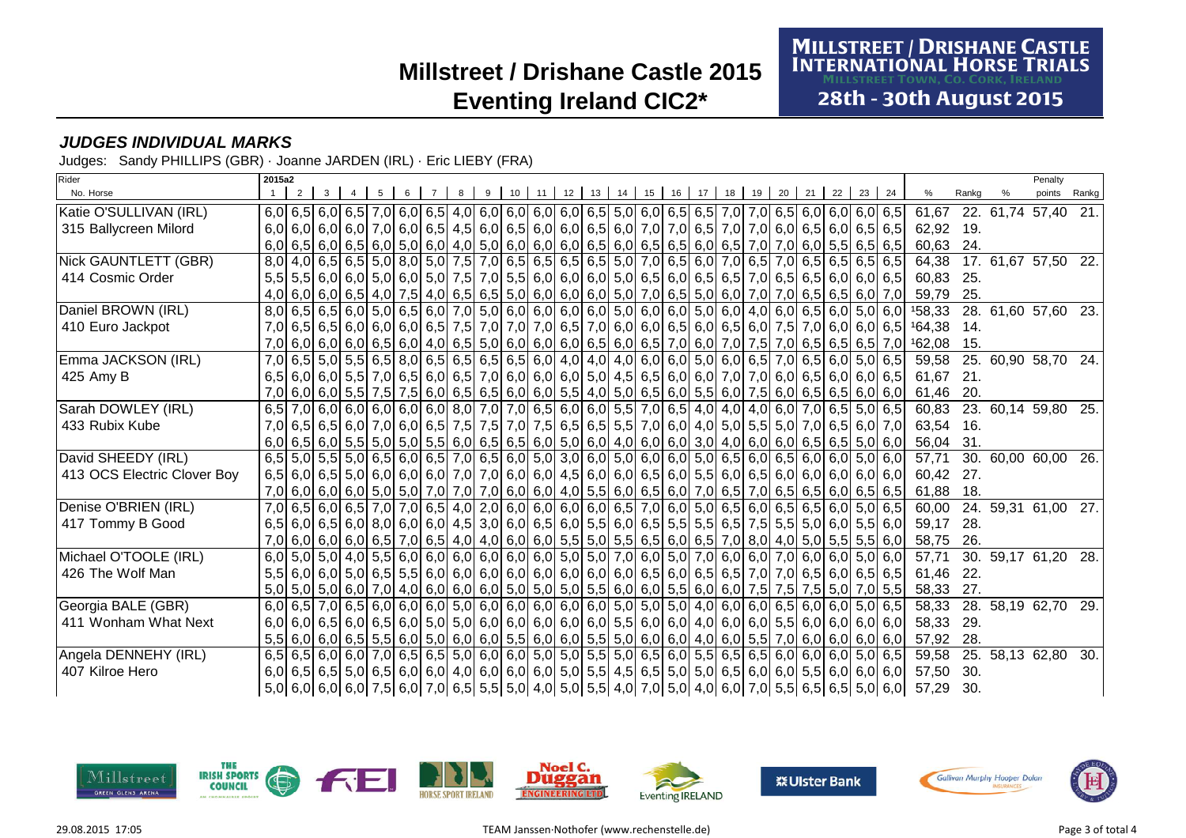**MILLSTREET / DRISHANE CASTLE<br>INTERNATIONAL HORSE TRIALS** 

28th - 30th August 2015

### **JUDGES INDIVIDUAL MARKS**

Judges: Sandy PHILLIPS (GBR) · Joanne JARDEN (IRL) · Eric LIEBY (FRA)

| Rider                       | 2015a2           |  |                                                                                                                     |  |  |             |    |         |    |         |    |    |    |    |    |    |       |                                                                                                            |       | Penalty             |       |
|-----------------------------|------------------|--|---------------------------------------------------------------------------------------------------------------------|--|--|-------------|----|---------|----|---------|----|----|----|----|----|----|-------|------------------------------------------------------------------------------------------------------------|-------|---------------------|-------|
| No. Horse                   |                  |  |                                                                                                                     |  |  | $9 \mid 10$ | 11 | $12$ 13 | 14 | $15$ 16 | 17 | 18 | 19 | 20 | 21 | 22 | 23 24 | $\%$                                                                                                       | Rankg | points              | Rankg |
| Katie O'SULLIVAN (IRL)      |                  |  | 6,0 6,5 6,0 6,5 7,0 6,0 6,0 6,5 4,0 6,0 6,0 6,0 6,0 6,0 6,5 5,0 6,0 6,5 6,5 7,0 7,0 6,5 6,0 6,0 6,0 6,0 6,1         |  |  |             |    |         |    |         |    |    |    |    |    |    |       | 61,67                                                                                                      |       | 22. 61,74 57,40 21. |       |
| 315 Ballycreen Milord       |                  |  | 6,0 6,0 6,0 6,0 6,0 7,0 6,0 6,5 4,5 6,0 6,5 6,0 6,0 6,5 6,0 7,0 7,0 6,5 7,0 7,0 6,0 6,5 6,0 6,5 6,0 6,5 6,5         |  |  |             |    |         |    |         |    |    |    |    |    |    |       | 62,92 19.                                                                                                  |       |                     |       |
|                             |                  |  | 6,0 6,5 6,0 6,5 6,0 6,5 6,5 6,5 6,5 6,5 6,0 6,0 6,0 6,0 6,0 6,5 6,0 6,5 6,0 6,5 6,0 6,5 7,0 7,0 6,0 5,5 6,5 6,5 6,5 |  |  |             |    |         |    |         |    |    |    |    |    |    |       | 60,63                                                                                                      | 24.   |                     |       |
| Nick GAUNTLETT (GBR)        | 8,0              |  |                                                                                                                     |  |  |             |    |         |    |         |    |    |    |    |    |    |       | 64,38                                                                                                      |       | 17. 61,67 57,50 22. |       |
| 414 Cosmic Order            | 5,5              |  | 5,5 6,0 6,0 5,0 6,0 5,0 6,0 7,5 7,0 5,5 6,0 6,0 6,0 5,0 6,5 6,0 6,5 6,5 7,0 6,5 6,5 6,0 6,0 6,0 6,0                 |  |  |             |    |         |    |         |    |    |    |    |    |    |       | 60,83                                                                                                      | 25.   |                     |       |
|                             |                  |  | 4,0 6,0 6,0 6,5 6,5 4,0 7,5 4,0 6,5 6,5 6,6 5,0 6,0 6,0 6,0 5,0 7,0 6,5 5,0 6,0 7,0 7,0 6,5 6,5 6,6 6,0 7,0         |  |  |             |    |         |    |         |    |    |    |    |    |    |       | 59,79                                                                                                      | 25.   |                     |       |
| Daniel BROWN (IRL)          |                  |  |                                                                                                                     |  |  |             |    |         |    |         |    |    |    |    |    |    |       | 8,0 6,5 6,5 6,0 5,0 6,5 6,0 7,0 5,0 6,0 6,0 6,0 6,0 6,0 5,0 6,0 6,0 5,0 6,0 4,0 6,0 6,5 6,0 5,0 6,0 158,33 |       | 28. 61,60 57,60 23. |       |
| 410 Euro Jackpot            | 7,0              |  |                                                                                                                     |  |  |             |    |         |    |         |    |    |    |    |    |    |       | 6,5 6,0 6,0 6,0 6,0 6,0 6,5 7,5 7,0 7,0 7,0 6,5 7,0 6,0 6,0 6,5 6,0 6,5 6,0 7,5 7,0 6,0 6,0 6,0 6,5 164,38 | 14.   |                     |       |
|                             | 7.0 <sub>l</sub> |  | 6,0 6,0 6,0 6,5 6,5 6,5 6,5 7,0 6,5 6,0 6,0 6,6 6,0 6,5 6,0 6,6 7,0 6,0 7,0 7,5 7,0 6,5 6,5 6,5 6,5 7,0             |  |  |             |    |         |    |         |    |    |    |    |    |    |       | 162,08                                                                                                     | 15.   |                     |       |
| Emma JACKSON (IRL)          | 7,0              |  | 6,5 6,0 6,5 6,0 6,5 8,0 6,5 8,0 6,5 6,5 6,6 6,6 6,0 4,0 4,0 6,0 6,0 6,0 6,0 6,0 6,5 7,0 6,5 6,0 5,0 6,5 6,0 6,5     |  |  |             |    |         |    |         |    |    |    |    |    |    |       | 59,58                                                                                                      | 25.   | 60,90 58,70 24.     |       |
| 425 Amy B                   | 6.5              |  | 6,0 6,0 6,0 6,0 6,0 6,0 6,0 6,0 6,5 7,0 6,0 6,0 6,0 6,0 6,0 6,0 4,5 6,5 6,0 6,0 7,0 7,0 6,0 6,0 6,0 6,0 6,0 6,0 6,5 |  |  |             |    |         |    |         |    |    |    |    |    |    |       | 61.67                                                                                                      | 21.   |                     |       |
|                             |                  |  | 7,0 6,0 6,0 5,5 7,5 7,5 6,0 6,5 6,5 6,5 6,0 6,0 5,5 4,0 5,0 6,5 6,0 5,5 6,0 7,5 6,0 6,5 6,5 6,0 6,0 6,0             |  |  |             |    |         |    |         |    |    |    |    |    |    |       | 61,46                                                                                                      | 20.   |                     |       |
| Sarah DOWLEY (IRL)          | 6,5              |  | 7,0 6,0 6,0 6,0 6,0 6,0 6,0 8,0 7,0 7,0 6,5 6,0 6,0 5,5 7,0 6,5 4,0 4,0 4,0 6,0 7,0 6,5 5,0 6,5                     |  |  |             |    |         |    |         |    |    |    |    |    |    |       | 60,83                                                                                                      |       | 23. 60,14 59,80 25. |       |
| 433 Rubix Kube              | 7,0              |  | 6,5 6,6 7,0 6,5 6,0 7,0 6,0 6,5 7,5 7,5 7,6 7,5 6,5 6,5 6,5 6,5 7,0 6,0 4,0 5,0 5,5 5,0 7,0 6,5 6,0 7,0             |  |  |             |    |         |    |         |    |    |    |    |    |    |       | 63,54 16.                                                                                                  |       |                     |       |
|                             |                  |  | 6,0 6,5 6,0 5,5 6,0 5,6 5,0 6,0 6,5 6,0 6,5 6,6 6,6 6,0 5,0 6,0 4,0 6,0 3,0 4,0 6,0 6,0 6,0 6,5 6,5 6,5 5,0 6,0     |  |  |             |    |         |    |         |    |    |    |    |    |    |       | 56,04                                                                                                      | 31.   |                     |       |
| David SHEEDY (IRL)          |                  |  | 6,5 5,0 5,5 5,0 6,5 6,0 6,5 7,0 6,5 6,0 5,0 5,0 6,0 5,0 6,0 6,0 6,0 6,0 6,5 6,0 6,5 6,0 6,5 6,0 6,0 5,0 6,0         |  |  |             |    |         |    |         |    |    |    |    |    |    |       | 57,71                                                                                                      | 30.   | 60,00 60,00         | 26.   |
| 413 OCS Electric Clover Boy |                  |  | 6,5 6,0 6,5 5,0 6,0 6,0 6,0 6,0 7,0 7,0 6,0 6,0 4,5 6,0 6,0 6,0 6,5 6,0 5,5 6,0 6,5 6,0 6,0 6,0 6,0 6,0 6,0 6,0     |  |  |             |    |         |    |         |    |    |    |    |    |    |       | 60,42                                                                                                      | 27.   |                     |       |
|                             |                  |  | 7,0 6,0 6,0 6,0 6,0 5,0 5,0 7,0 7,0 7,0 6,0 6,0 4,0 5,5 6,0 6,5 6,0 7,0 6,5 7,0 6,5 6,5 6,0 6,5 6,0 6,5 6,5         |  |  |             |    |         |    |         |    |    |    |    |    |    |       | 61,88                                                                                                      | 18.   |                     |       |
| Denise O'BRIEN (IRL)        | 7,0              |  | 6,5 6,0 6,5 7,0 7,0 6,5 4,0 2,0 6,0 6,0 6,0 6,0 6,5 7,0 6,0 6,0 6,5 6,0 6,5 6,0 5,0 6,5 6,0 5,0 6,5                 |  |  |             |    |         |    |         |    |    |    |    |    |    |       | 60,00                                                                                                      |       | 24. 59,31 61,00 27. |       |
| 417 Tommy B Good            |                  |  | 6,5 6,6 7,5 6,6 6,0 6,0 6,0 6,0 6,0 6,0 4,5 3,0 6,0 6,5 6,0 5,5 6,0 6,5 5,5 5,5 6,5 7,5 5,5 5,0 6,0 5,5 6,0         |  |  |             |    |         |    |         |    |    |    |    |    |    |       | 59,17                                                                                                      | 28.   |                     |       |
|                             |                  |  | 7,0 6,0 6,0 6,0 6,0 6,5 7,0 6,5 7,0 6,5 4,0 4,0 6,0 6,0 6,0 5,5 5,0 5,5 6,5 6,0 6,5 7,0 8,0 4,0 5,0 5,5 5,5 5,5 6,0 |  |  |             |    |         |    |         |    |    |    |    |    |    |       | 58,75                                                                                                      | 26.   |                     |       |
| Michael O'TOOLE (IRL)       | 6.0              |  | 5,0 5,0 4,0 5,5 6,0 6,0 6,0 6,0 6,0 6,0 6,0 5,0 5,0 7,0 6,0 5,0 7,0 6,0 6,0 7,0 6,0 7,0 6,0 6,0 5,0 6,0             |  |  |             |    |         |    |         |    |    |    |    |    |    |       | 57,71                                                                                                      |       | 30. 59,17 61,20 28. |       |
| 426 The Wolf Man            |                  |  | 5,5 6,0 6,0 5,0 6,5 6,5 5,5 6,0 6,0 6,0 6,0 6,0 6,0 6,0 6,0 6,0 6,5 6,0 6,5 6,5 7,0 7,0 6,5 6,0 6,5 6,5 6,5         |  |  |             |    |         |    |         |    |    |    |    |    |    |       | 61,46                                                                                                      | 22.   |                     |       |
|                             |                  |  | 5,0 5,0 6,0 6,0 7,5 6,0 7,0 4,0 6,0 6,0 6,0 6,0 5,0 5,0 5,0 5,5 6,0 6,0 5,5 6,0 6,0 7,5 7,5 7,5 7,5 5,0 7,0 5,5     |  |  |             |    |         |    |         |    |    |    |    |    |    |       | 58,33                                                                                                      | 27.   |                     |       |
| Georgia BALE (GBR)          | 6,0              |  |                                                                                                                     |  |  |             |    |         |    |         |    |    |    |    |    |    |       | 58,33                                                                                                      | 28.   | 58,19 62,70 29.     |       |
| 411 Wonham What Next        | 6,0              |  |                                                                                                                     |  |  |             |    |         |    |         |    |    |    |    |    |    |       | 58,33                                                                                                      | 29.   |                     |       |
|                             |                  |  | 5,5 6,0 6,0 6,0 6,5 5,5 6,0 6,0 6,0 6,0 6,0 5,5 6,0 6,0 5,5 5,0 6,0 6,0 4,0 6,0 5,5 7,0 6,0 6,0 6,0 6,0 6,0 6       |  |  |             |    |         |    |         |    |    |    |    |    |    |       | 57,92                                                                                                      | 28.   |                     |       |
| Angela DENNEHY (IRL)        |                  |  | 6,5 6,5 6,0 6,0 6,0 7,0 6,5 6,5 6,5 6,0 6,0 6,0 5,0 5,0 5,5 5,0 6,5 6,0 5,5 6,5 6,5 6,5 6,5 6,0 6,0 6,0 5,0 6,5     |  |  |             |    |         |    |         |    |    |    |    |    |    |       | 59,58                                                                                                      | 25.   | 58,13 62,80         | 30.   |
| 407 Kilroe Hero             |                  |  |                                                                                                                     |  |  |             |    |         |    |         |    |    |    |    |    |    |       | 57,50                                                                                                      | 30.   |                     |       |
|                             |                  |  | 5,0 6,0 6,0 6,0 6,0 7,5 6,0 7,0 6,5 5,5 5,0 4,0 5,0 5,5 4,0 7,0 5,0 4,0 6,0 7,0 5,5 6,5 6,5 6,5 5,0 6,0             |  |  |             |    |         |    |         |    |    |    |    |    |    |       | 57,29                                                                                                      | 30.   |                     |       |